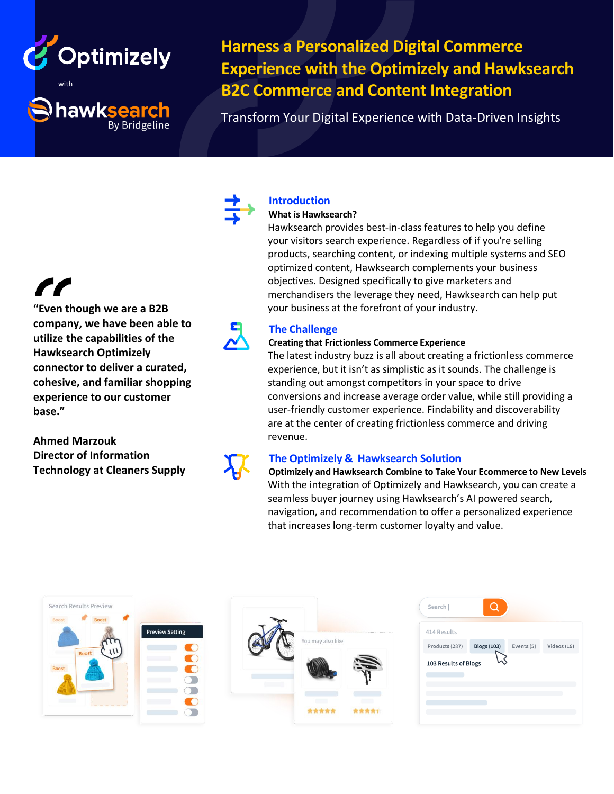

hawksearch

**By Bridgeline** 

**Harness a Personalized Digital Commerce Experience with the Optimizely and Hawksearch B2C Commerce and Content Integration**

Transform Your Digital Experience with Data-Driven Insights

**"Even though we are a B2B company, we have been able to utilize the capabilities of the Hawksearch Optimizely connector to deliver a curated, cohesive, and familiar shopping experience to our customer base."**

**Ahmed Marzouk Director of Information Technology at Cleaners Supply**

# **Introduction**

## **What is Hawksearch?**

Hawksearch provides best-in-class features to help you define your visitors search experience. Regardless of if you're selling products, searching content, or indexing multiple systems and SEO optimized content, Hawksearch complements your business objectives. Designed specifically to give marketers and merchandisers the leverage they need, Hawksearch can help put your business at the forefront of your industry.

# **The Challenge**

## **Creating that Frictionless Commerce Experience**

The latest industry buzz is all about creating a frictionless commerce experience, but it isn't as simplistic as it sounds. The challenge is standing out amongst competitors in your space to drive conversions and increase average order value, while still providing a user-friendly customer experience. Findability and discoverability are at the center of creating frictionless commerce and driving revenue.

# **The Optimizely & Hawksearch Solution**

**Optimizely and Hawksearch Combine to Take Your Ecommerce to New Levels** With the integration of Optimizely and Hawksearch, you can create a seamless buyer journey using Hawksearch's AI powered search, navigation, and recommendation to offer a personalized experience that increases long-term customer loyalty and value.

| Search Results Preview                                                                                  |        |                                    | Q<br>Search                                                       |
|---------------------------------------------------------------------------------------------------------|--------|------------------------------------|-------------------------------------------------------------------|
| Boost<br><b>Boost</b><br><b>Preview Setting</b><br>$\mathcal{W}$<br><b>Boost</b><br>n Co<br>Boost<br>u. |        | 414 Results                        |                                                                   |
|                                                                                                         |        | You may also like<br>$\frac{1}{2}$ | <b>Blogs (103)</b><br>Events (5)<br>Videos (19)<br>Products (287) |
|                                                                                                         |        |                                    | w<br>103 Results of Blogs                                         |
|                                                                                                         | - 11   | $\sim$                             |                                                                   |
| <b>TELEVISION</b>                                                                                       | $\sim$ | $\sim$<br>黄黄黄黄黄<br>责责责责任           |                                                                   |